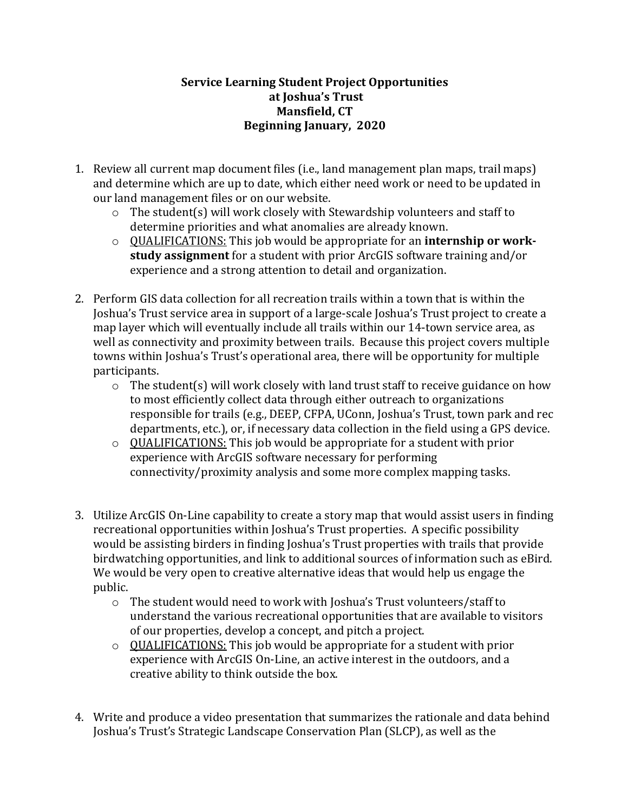## **Service Learning Student Project Opportunities** at **Joshua's** Trust **Mansfield, CT Beginning January, 2020**

- 1. Review all current map document files (i.e., land management plan maps, trail maps) and determine which are up to date, which either need work or need to be updated in our land management files or on our website.
	- $\circ$  The student(s) will work closely with Stewardship volunteers and staff to determine priorities and what anomalies are already known.
	- $\circ$  QUALIFICATIONS: This job would be appropriate for an **internship or workstudy assignment** for a student with prior ArcGIS software training and/or experience and a strong attention to detail and organization.
- 2. Perform GIS data collection for all recreation trails within a town that is within the Joshua's Trust service area in support of a large-scale Joshua's Trust project to create a map layer which will eventually include all trails within our 14-town service area, as well as connectivity and proximity between trails. Because this project covers multiple towns within Joshua's Trust's operational area, there will be opportunity for multiple participants.
	- $\circ$  The student(s) will work closely with land trust staff to receive guidance on how to most efficiently collect data through either outreach to organizations responsible for trails (e.g., DEEP, CFPA, UConn, Joshua's Trust, town park and rec departments, etc.), or, if necessary data collection in the field using a GPS device.
	- $\circ$  QUALIFICATIONS: This job would be appropriate for a student with prior experience with ArcGIS software necessary for performing connectivity/proximity analysis and some more complex mapping tasks.
- 3. Utilize ArcGIS On-Line capability to create a story map that would assist users in finding recreational opportunities within Joshua's Trust properties. A specific possibility would be assisting birders in finding Joshua's Trust properties with trails that provide birdwatching opportunities, and link to additional sources of information such as eBird. We would be very open to creative alternative ideas that would help us engage the public.
	- $\circ$  The student would need to work with Joshua's Trust volunteers/staff to understand the various recreational opportunities that are available to visitors of our properties, develop a concept, and pitch a project.
	- $\circ$  QUALIFICATIONS: This job would be appropriate for a student with prior experience with ArcGIS On-Line, an active interest in the outdoors, and a creative ability to think outside the box.
- 4. Write and produce a video presentation that summarizes the rationale and data behind Joshua's Trust's Strategic Landscape Conservation Plan (SLCP), as well as the